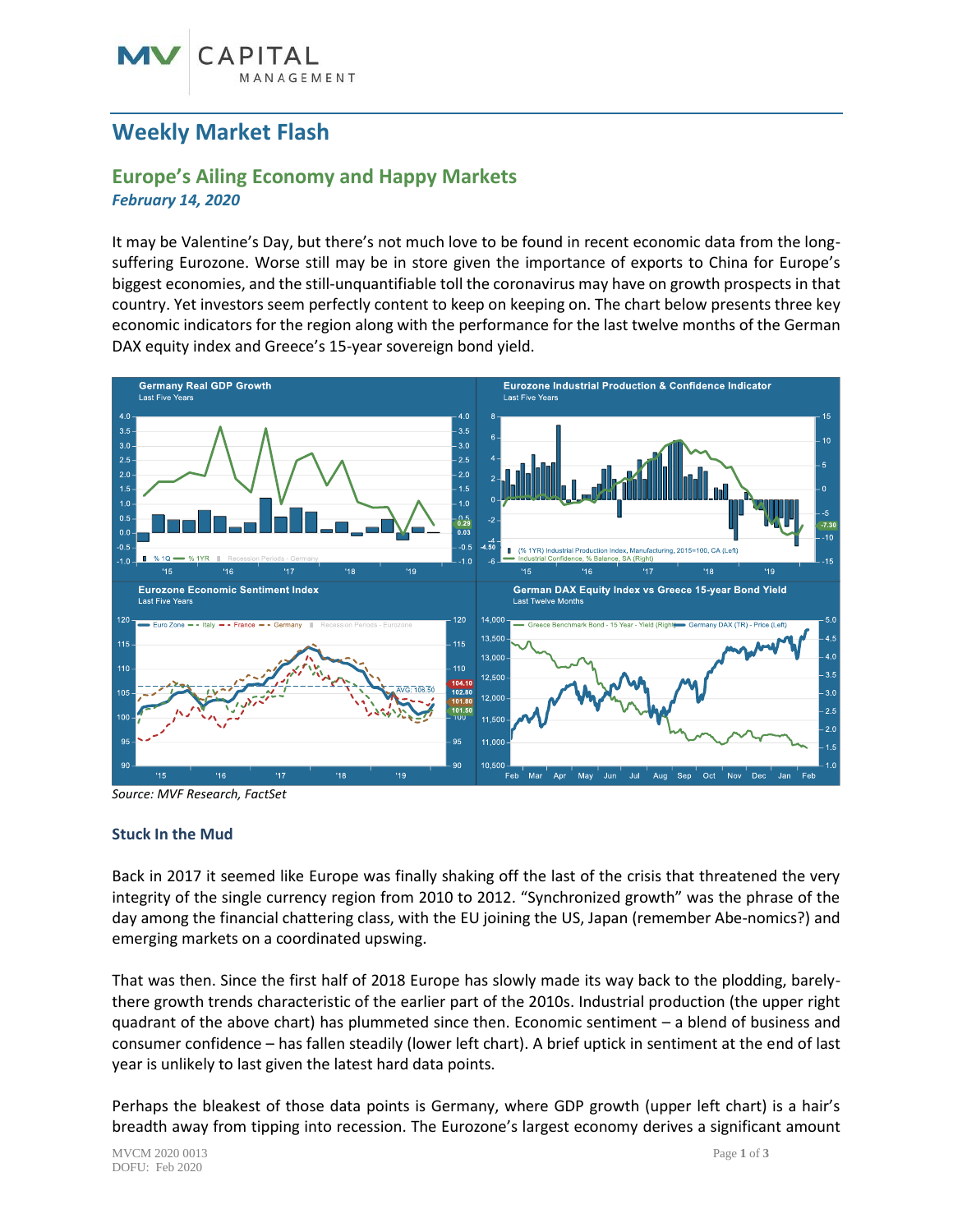## **Weekly Market Flash**

### **Europe's Ailing Economy and Happy Markets** *February 14, 2020*

It may be Valentine's Day, but there's not much love to be found in recent economic data from the longsuffering Eurozone. Worse still may be in store given the importance of exports to China for Europe's biggest economies, and the still-unquantifiable toll the coronavirus may have on growth prospects in that country. Yet investors seem perfectly content to keep on keeping on. The chart below presents three key economic indicators for the region along with the performance for the last twelve months of the German DAX equity index and Greece's 15-year sovereign bond yield.



*Source: MVF Research, FactSet*

#### **Stuck In the Mud**

Back in 2017 it seemed like Europe was finally shaking off the last of the crisis that threatened the very integrity of the single currency region from 2010 to 2012. "Synchronized growth" was the phrase of the day among the financial chattering class, with the EU joining the US, Japan (remember Abe-nomics?) and emerging markets on a coordinated upswing.

That was then. Since the first half of 2018 Europe has slowly made its way back to the plodding, barelythere growth trends characteristic of the earlier part of the 2010s. Industrial production (the upper right quadrant of the above chart) has plummeted since then. Economic sentiment – a blend of business and consumer confidence – has fallen steadily (lower left chart). A brief uptick in sentiment at the end of last year is unlikely to last given the latest hard data points.

Perhaps the bleakest of those data points is Germany, where GDP growth (upper left chart) is a hair's breadth away from tipping into recession. The Eurozone's largest economy derives a significant amount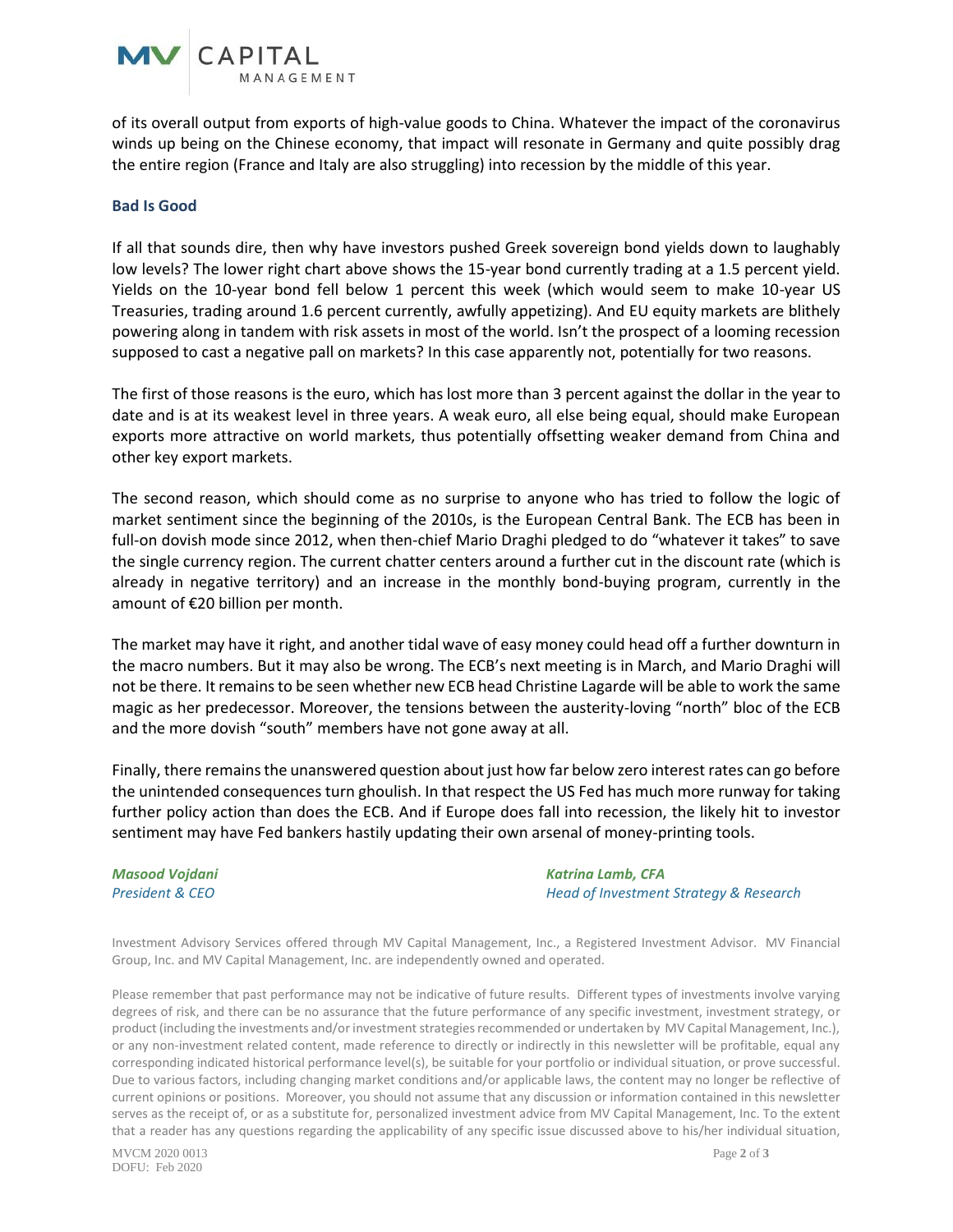of its overall output from exports of high-value goods to China. Whatever the impact of the coronavirus winds up being on the Chinese economy, that impact will resonate in Germany and quite possibly drag the entire region (France and Italy are also struggling) into recession by the middle of this year.

#### **Bad Is Good**

**MV** CAPITAL

If all that sounds dire, then why have investors pushed Greek sovereign bond yields down to laughably low levels? The lower right chart above shows the 15-year bond currently trading at a 1.5 percent yield. Yields on the 10-year bond fell below 1 percent this week (which would seem to make 10-year US Treasuries, trading around 1.6 percent currently, awfully appetizing). And EU equity markets are blithely powering along in tandem with risk assets in most of the world. Isn't the prospect of a looming recession supposed to cast a negative pall on markets? In this case apparently not, potentially for two reasons.

The first of those reasons is the euro, which has lost more than 3 percent against the dollar in the year to date and is at its weakest level in three years. A weak euro, all else being equal, should make European exports more attractive on world markets, thus potentially offsetting weaker demand from China and other key export markets.

The second reason, which should come as no surprise to anyone who has tried to follow the logic of market sentiment since the beginning of the 2010s, is the European Central Bank. The ECB has been in full-on dovish mode since 2012, when then-chief Mario Draghi pledged to do "whatever it takes" to save the single currency region. The current chatter centers around a further cut in the discount rate (which is already in negative territory) and an increase in the monthly bond-buying program, currently in the amount of €20 billion per month.

The market may have it right, and another tidal wave of easy money could head off a further downturn in the macro numbers. But it may also be wrong. The ECB's next meeting is in March, and Mario Draghi will not be there. It remains to be seen whether new ECB head Christine Lagarde will be able to work the same magic as her predecessor. Moreover, the tensions between the austerity-loving "north" bloc of the ECB and the more dovish "south" members have not gone away at all.

Finally, there remains the unanswered question about just how far below zero interest rates can go before the unintended consequences turn ghoulish. In that respect the US Fed has much more runway for taking further policy action than does the ECB. And if Europe does fall into recession, the likely hit to investor sentiment may have Fed bankers hastily updating their own arsenal of money-printing tools.

# *Masood Vojdani Katrina Lamb, CFA*

*President & CEO Head of Investment Strategy & Research*

Investment Advisory Services offered through MV Capital Management, Inc., a Registered Investment Advisor. MV Financial Group, Inc. and MV Capital Management, Inc. are independently owned and operated.

Please remember that past performance may not be indicative of future results. Different types of investments involve varying degrees of risk, and there can be no assurance that the future performance of any specific investment, investment strategy, or product (including the investments and/or investment strategies recommended or undertaken by MV Capital Management, Inc.), or any non-investment related content, made reference to directly or indirectly in this newsletter will be profitable, equal any corresponding indicated historical performance level(s), be suitable for your portfolio or individual situation, or prove successful. Due to various factors, including changing market conditions and/or applicable laws, the content may no longer be reflective of current opinions or positions. Moreover, you should not assume that any discussion or information contained in this newsletter serves as the receipt of, or as a substitute for, personalized investment advice from MV Capital Management, Inc. To the extent that a reader has any questions regarding the applicability of any specific issue discussed above to his/her individual situation,

MVCM 2020 0013 Page **2** of **3** DOFU: Feb 2020